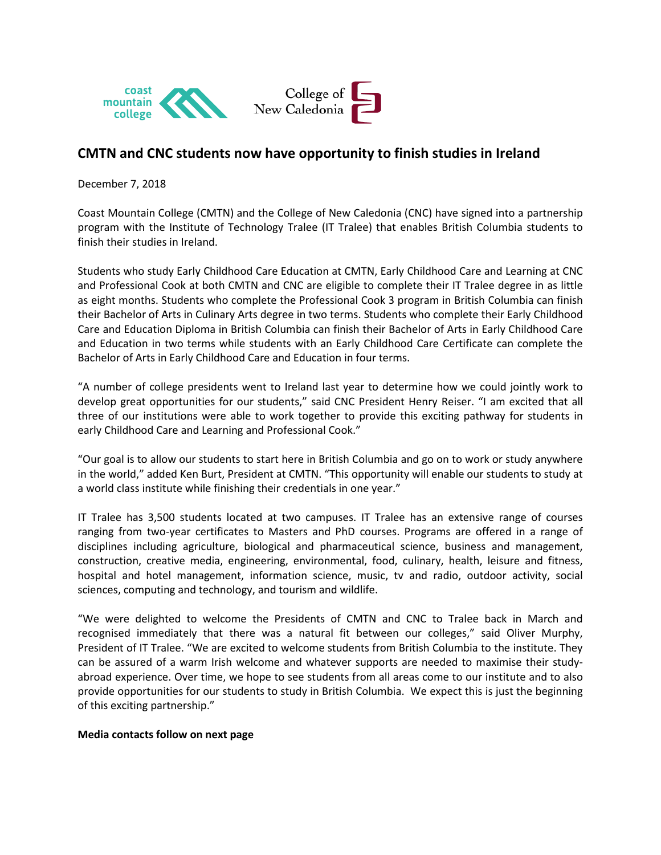

## **CMTN and CNC students now have opportunity to finish studies in Ireland**

December 7, 2018

Coast Mountain College (CMTN) and the College of New Caledonia (CNC) have signed into a partnership program with the Institute of Technology Tralee (IT Tralee) that enables British Columbia students to finish their studies in Ireland.

Students who study Early Childhood Care Education at CMTN, Early Childhood Care and Learning at CNC and Professional Cook at both CMTN and CNC are eligible to complete their IT Tralee degree in as little as eight months. Students who complete the Professional Cook 3 program in British Columbia can finish their Bachelor of Arts in Culinary Arts degree in two terms. Students who complete their Early Childhood Care and Education Diploma in British Columbia can finish their Bachelor of Arts in Early Childhood Care and Education in two terms while students with an Early Childhood Care Certificate can complete the Bachelor of Arts in Early Childhood Care and Education in four terms.

"A number of college presidents went to Ireland last year to determine how we could jointly work to develop great opportunities for our students," said CNC President Henry Reiser. "I am excited that all three of our institutions were able to work together to provide this exciting pathway for students in early Childhood Care and Learning and Professional Cook."

"Our goal is to allow our students to start here in British Columbia and go on to work or study anywhere in the world," added Ken Burt, President at CMTN. "This opportunity will enable our students to study at a world class institute while finishing their credentials in one year."

IT Tralee has 3,500 students located at two campuses. IT Tralee has an extensive range of courses ranging from two-year certificates to Masters and PhD courses. Programs are offered in a range of disciplines including agriculture, biological and pharmaceutical science, business and management, construction, creative media, engineering, environmental, food, culinary, health, leisure and fitness, hospital and hotel management, information science, music, tv and radio, outdoor activity, social sciences, computing and technology, and tourism and wildlife.

"We were delighted to welcome the Presidents of CMTN and CNC to Tralee back in March and recognised immediately that there was a natural fit between our colleges," said Oliver Murphy, President of IT Tralee. "We are excited to welcome students from British Columbia to the institute. They can be assured of a warm Irish welcome and whatever supports are needed to maximise their studyabroad experience. Over time, we hope to see students from all areas come to our institute and to also provide opportunities for our students to study in British Columbia. We expect this is just the beginning of this exciting partnership."

## **Media contacts follow on next page**